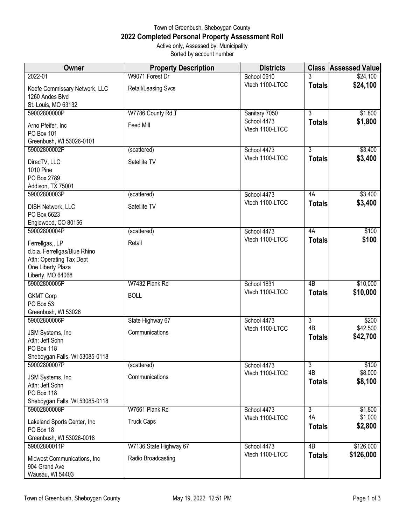## Town of Greenbush, Sheboygan County **2022 Completed Personal Property Assessment Roll** Active only, Assessed by: Municipality Sorted by account number

| Owner                                                                                                                 | <b>Property Description</b> | <b>Districts</b>               |                     | <b>Class Assessed Value</b> |
|-----------------------------------------------------------------------------------------------------------------------|-----------------------------|--------------------------------|---------------------|-----------------------------|
| 2022-01                                                                                                               | W9071 Forest Dr             | School 0910                    |                     | \$24,100                    |
| Keefe Commissary Network, LLC<br>1260 Andes Blvd<br>St. Louis, MO 63132                                               | Retail/Leasing Svcs         | Vtech 1100-LTCC                | <b>Totals</b>       | \$24,100                    |
| 59002800000P                                                                                                          | W7786 County Rd T           | Sanitary 7050                  | $\overline{3}$      | \$1,800                     |
| Arno Pfeifer, Inc<br>PO Box 101<br>Greenbush, WI 53026-0101                                                           | Feed Mill                   | School 4473<br>Vtech 1100-LTCC | <b>Totals</b>       | \$1,800                     |
| 59002800002P                                                                                                          | (scattered)                 | School 4473                    | $\overline{3}$      | \$3,400                     |
| DirecTV, LLC<br>1010 Pine<br>PO Box 2789<br>Addison, TX 75001                                                         | Satellite TV                | Vtech 1100-LTCC                | <b>Totals</b>       | \$3,400                     |
| 59002800003P                                                                                                          | (scattered)                 | School 4473                    | 4A                  | \$3,400                     |
| DISH Network, LLC<br>PO Box 6623<br>Englewood, CO 80156                                                               | Satellite TV                | Vtech 1100-LTCC                | <b>Totals</b>       | \$3,400                     |
| 59002800004P                                                                                                          | (scattered)                 | School 4473                    | 4A                  | \$100                       |
| Ferrellgas,, LP<br>d.b.a. Ferrellgas/Blue Rhino<br>Attn: Operating Tax Dept<br>One Liberty Plaza<br>Liberty, MO 64068 | Retail                      | Vtech 1100-LTCC                | <b>Totals</b>       | \$100                       |
| 59002800005P                                                                                                          | W7432 Plank Rd              | School 1631                    | 4 <sub>B</sub>      | \$10,000                    |
| <b>GKMT Corp</b><br>PO Box 53<br>Greenbush, WI 53026                                                                  | <b>BOLL</b>                 | Vtech 1100-LTCC                | <b>Totals</b>       | \$10,000                    |
| 59002800006P                                                                                                          | State Highway 67            | School 4473                    | $\overline{3}$      | \$200                       |
| JSM Systems, Inc<br>Attn: Jeff Sohn<br>PO Box 118<br>Sheboygan Falls, WI 53085-0118                                   | Communications              | Vtech 1100-LTCC                | 4B<br><b>Totals</b> | \$42,500<br>\$42,700        |
| 59002800007P                                                                                                          | (scattered)                 | School 4473                    | $\overline{3}$      | \$100                       |
| JSM Systems, Inc<br>Attn: Jeff Sohn<br><b>PO Box 118</b><br>Sheboygan Falls, WI 53085-0118                            | Communications              | Vtech 1100-LTCC                | 4B<br><b>Totals</b> | \$8,000<br>\$8,100          |
| 59002800008P                                                                                                          | W7661 Plank Rd              | School 4473                    | $\overline{3}$      | \$1,800                     |
| Lakeland Sports Center, Inc<br>PO Box 18<br>Greenbush, WI 53026-0018                                                  | <b>Truck Caps</b>           | Vtech 1100-LTCC                | 4A<br><b>Totals</b> | \$1,000<br>\$2,800          |
| 59002800011P                                                                                                          | W7136 State Highway 67      | School 4473                    | 4B                  | \$126,000                   |
| Midwest Communications, Inc.<br>904 Grand Ave<br>Wausau, WI 54403                                                     | Radio Broadcasting          | Vtech 1100-LTCC                | <b>Totals</b>       | \$126,000                   |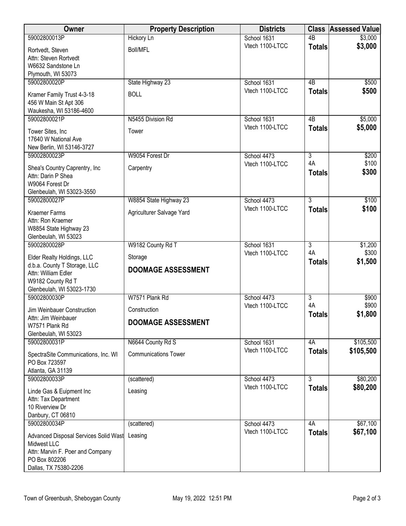| Owner                                                      | <b>Property Description</b> | <b>Districts</b>               | <b>Class</b>                    | <b>Assessed Value</b> |
|------------------------------------------------------------|-----------------------------|--------------------------------|---------------------------------|-----------------------|
| 59002800013P                                               | <b>Hickory Ln</b>           | School 1631                    | $\overline{AB}$                 | \$3,000               |
| Rortvedt, Steven                                           | <b>Boll/MFL</b>             | Vtech 1100-LTCC                | <b>Totals</b>                   | \$3,000               |
| Attn: Steven Rortvedt                                      |                             |                                |                                 |                       |
| W6632 Sandstone Ln<br>Plymouth, WI 53073                   |                             |                                |                                 |                       |
| 59002800020P                                               | State Highway 23            | School 1631                    | 4B                              | \$500                 |
| Kramer Family Trust 4-3-18                                 | <b>BOLL</b>                 | Vtech 1100-LTCC                | <b>Totals</b>                   | \$500                 |
| 456 W Main St Apt 306                                      |                             |                                |                                 |                       |
| Waukesha, WI 53186-4600<br>59002800021P                    |                             |                                |                                 |                       |
|                                                            | N5455 Division Rd           | School 1631<br>Vtech 1100-LTCC | 4B<br><b>Totals</b>             | \$5,000<br>\$5,000    |
| Tower Sites, Inc<br>17640 W National Ave                   | Tower                       |                                |                                 |                       |
| New Berlin, WI 53146-3727                                  |                             |                                |                                 |                       |
| 59002800023P                                               | W9054 Forest Dr             | School 4473                    | $\overline{3}$                  | \$200                 |
| Shea's Country Caprentry, Inc                              | Carpentry                   | Vtech 1100-LTCC                | 4A                              | \$100                 |
| Attn: Darin P Shea                                         |                             |                                | <b>Totals</b>                   | \$300                 |
| W9064 Forest Dr<br>Glenbeulah, WI 53023-3550               |                             |                                |                                 |                       |
| 59002800027P                                               | W8854 State Highway 23      | School 4473                    | $\overline{3}$                  | \$100                 |
| <b>Kraemer Farms</b>                                       | Agriculturer Salvage Yard   | Vtech 1100-LTCC                | <b>Totals</b>                   | \$100                 |
| Attn: Ron Kraemer                                          |                             |                                |                                 |                       |
| W8854 State Highway 23                                     |                             |                                |                                 |                       |
| Glenbeulah, WI 53023<br>59002800028P                       | W9182 County Rd T           | School 1631                    | 3                               | \$1,200               |
|                                                            |                             | Vtech 1100-LTCC                | 4A                              | \$300                 |
| Elder Realty Holdings, LLC<br>d.b.a. County T Storage, LLC | Storage                     |                                | <b>Totals</b>                   | \$1,500               |
| Attn: William Edler                                        | <b>DOOMAGE ASSESSMENT</b>   |                                |                                 |                       |
| W9182 County Rd T                                          |                             |                                |                                 |                       |
| Glenbeulah, WI 53023-1730<br>59002800030P                  | W7571 Plank Rd              | School 4473                    | $\overline{3}$                  | \$900                 |
| Jim Weinbauer Construction                                 | Construction                | Vtech 1100-LTCC                | 4A                              | \$900                 |
| Attn: Jim Weinbauer                                        |                             |                                | <b>Totals</b>                   | \$1,800               |
| W7571 Plank Rd                                             | <b>DOOMAGE ASSESSMENT</b>   |                                |                                 |                       |
| Glenbeulah, WI 53023<br>59002800031P                       | N6644 County Rd S           | School 1631                    | 4A                              | \$105,500             |
| SpectraSite Communications, Inc. WI                        | <b>Communications Tower</b> | Vtech 1100-LTCC                | <b>Totals</b>                   | \$105,500             |
| PO Box 723597                                              |                             |                                |                                 |                       |
| Atlanta, GA 31139                                          |                             |                                |                                 |                       |
| 59002800033P                                               | (scattered)                 | School 4473<br>Vtech 1100-LTCC | $\overline{3}$<br><b>Totals</b> | \$80,200<br>\$80,200  |
| Linde Gas & Euipment Inc                                   | Leasing                     |                                |                                 |                       |
| Attn: Tax Department<br>10 Riverview Dr                    |                             |                                |                                 |                       |
| Danbury, CT 06810                                          |                             |                                |                                 |                       |
| 59002800034P                                               | (scattered)                 | School 4473                    | 4A                              | \$67,100              |
| Advanced Disposal Services Solid Wast                      | Leasing                     | Vtech 1100-LTCC                | <b>Totals</b>                   | \$67,100              |
| Midwest LLC<br>Attn: Marvin F. Poer and Company            |                             |                                |                                 |                       |
| PO Box 802206                                              |                             |                                |                                 |                       |
| Dallas, TX 75380-2206                                      |                             |                                |                                 |                       |